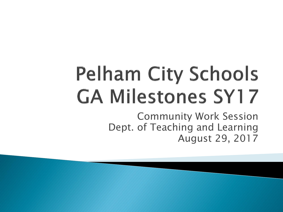# **Pelham City Schools GA Milestones SY17**

Community Work Session Dept. of Teaching and Learning August 29, 2017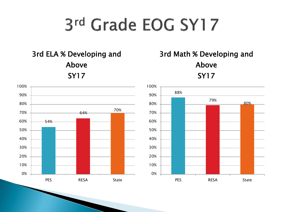# 3rd Grade EOG SY17

3rd ELA % Developing and Above SY17





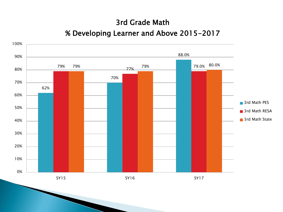## 3rd Grade Math

#### % Developing Learner and Above 2015-2017

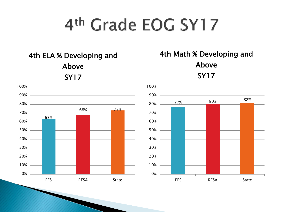4th ELA % Developing and Above SY17



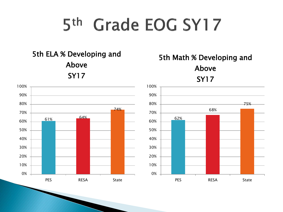5th ELA % Developing and Above SY17



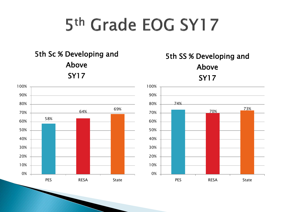5th Sc % Developing and Above SY17



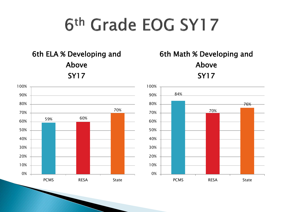6th ELA % Developing and Above SY17



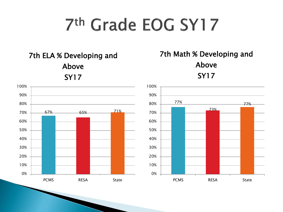7th ELA % Developing and Above SY17



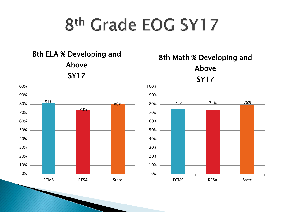8th ELA % Developing and Above SY17



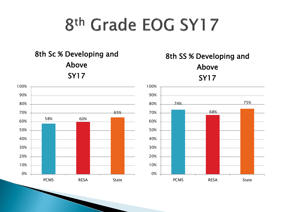8th Sc % Developing and Above SY17



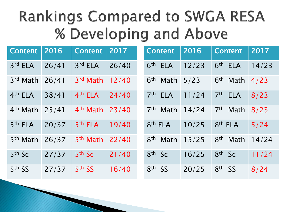## **Rankings Compared to SWGA RESA** % Developing and Above

| <b>Content</b>       | 2016  | <b>Content</b>       | 2017  | <b>Content</b>                | 2016  | <b>Content</b>                | 2017  |
|----------------------|-------|----------------------|-------|-------------------------------|-------|-------------------------------|-------|
| 3rd ELA              | 26/41 | 3rd ELA              | 26/40 | 6 <sup>th</sup><br><b>ELA</b> | 12/23 | 6 <sup>th</sup><br><b>ELA</b> | 14/23 |
| 3rd Math             | 26/41 | 3rd Math             | 12/40 | 6 <sup>th</sup><br>Math       | 5/23  | 6 <sup>th</sup><br>Math       | 4/23  |
| 4 <sup>th</sup> ELA  | 38/41 | 4th ELA              | 24/40 | 7 <sup>th</sup><br><b>ELA</b> | 11/24 | 7th ELA                       | 8/23  |
| 4 <sup>th</sup> Math | 25/41 | 4 <sup>th</sup> Math | 23/40 | 7 <sup>th</sup><br>Math       | 14/24 | 7 <sup>th</sup> Math          | 8/23  |
| 5 <sup>th</sup> ELA  | 20/37 | 5 <sup>th</sup> ELA  | 19/40 | 8 <sup>th</sup> ELA           | 10/25 | 8 <sup>th</sup> ELA           | 5/24  |
| 5 <sup>th</sup> Math | 26/37 | 5 <sup>th</sup> Math | 22/40 | 8 <sup>th</sup><br>Math       | 15/25 | 8 <sup>th</sup> Math          | 14/24 |
| 5th Sc               | 27/37 | 5th Sc               | 21/40 | 8th Sc                        | 16/25 | $8th$ Sc                      | 11/24 |
| 5th SS               | 27/37 | 5th SS               | 16/40 | 8 <sup>th</sup><br><b>SS</b>  | 20/25 | 8 <sup>th</sup><br><b>SS</b>  | 8/24  |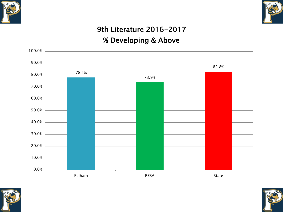



## 9th Literature 2016-2017

### % Developing & Above





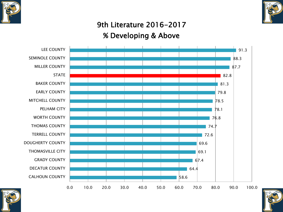



## 9th Literature 2016-2017 % Developing & Above





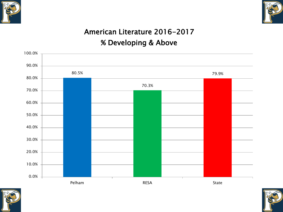



## American Literature 2016-2017 % Developing & Above





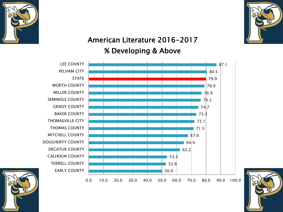



### American Literature 2016-2017 % Developing & Above





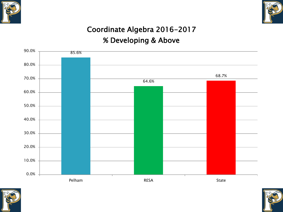



## Coordinate Algebra 2016-2017

### % Developing & Above





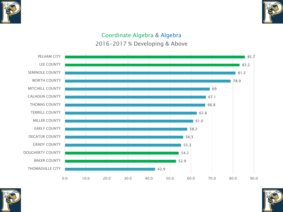



#### Coordinate Algebra & Algebra 2016-2017 % Developing & Above





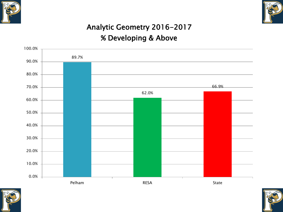



## Analytic Geometry 2016-2017 % Developing & Above





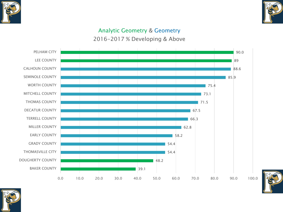



#### Analytic Geometry & Geometry

2016-2017 % Developing & Above





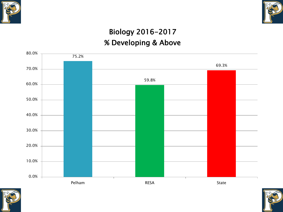



## Biology 2016-2017 % Developing & Above





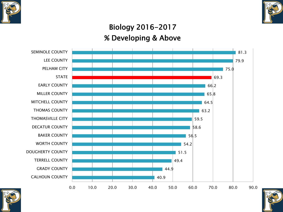



## Biology 2016-2017 % Developing & Above





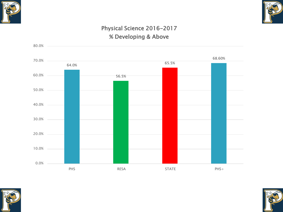



#### Physical Science 2016-2017 % Developing & Above





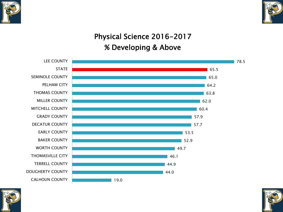



## Physical Science 2016-2017 % Developing & Above





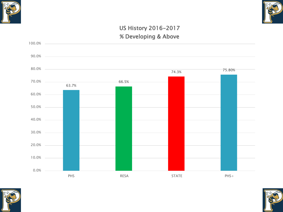



#### US History 2016-2017 % Developing & Above





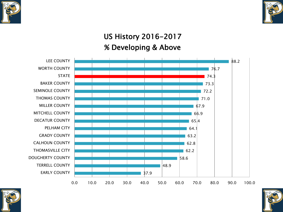



## US History 2016-2017 % Developing & Above





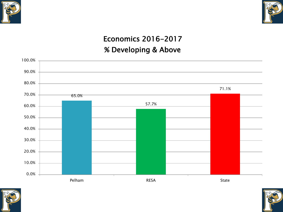



## Economics 2016-2017 % Developing & Above





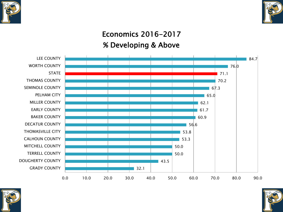



## Economics 2016-2017 % Developing & Above





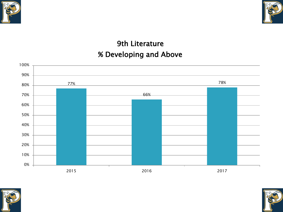



## 9th Literature % Developing and Above





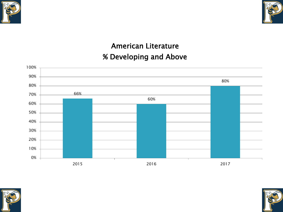



## American Literature % Developing and Above





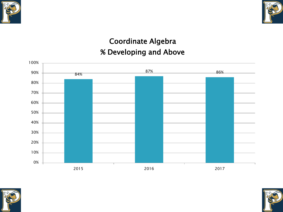



## Coordinate Algebra % Developing and Above





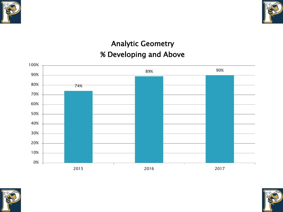



## Analytic Geometry % Developing and Above





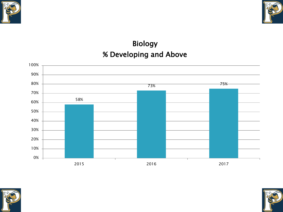



## Biology % Developing and Above





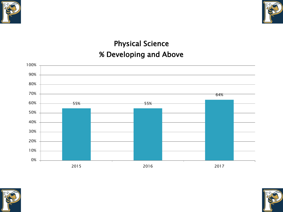



## Physical Science % Developing and Above





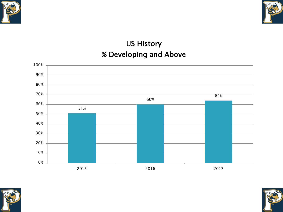



## US History % Developing and Above





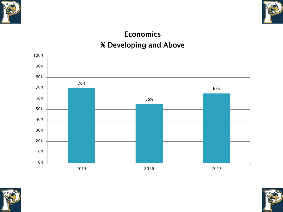



## **Economics** % Developing and Above